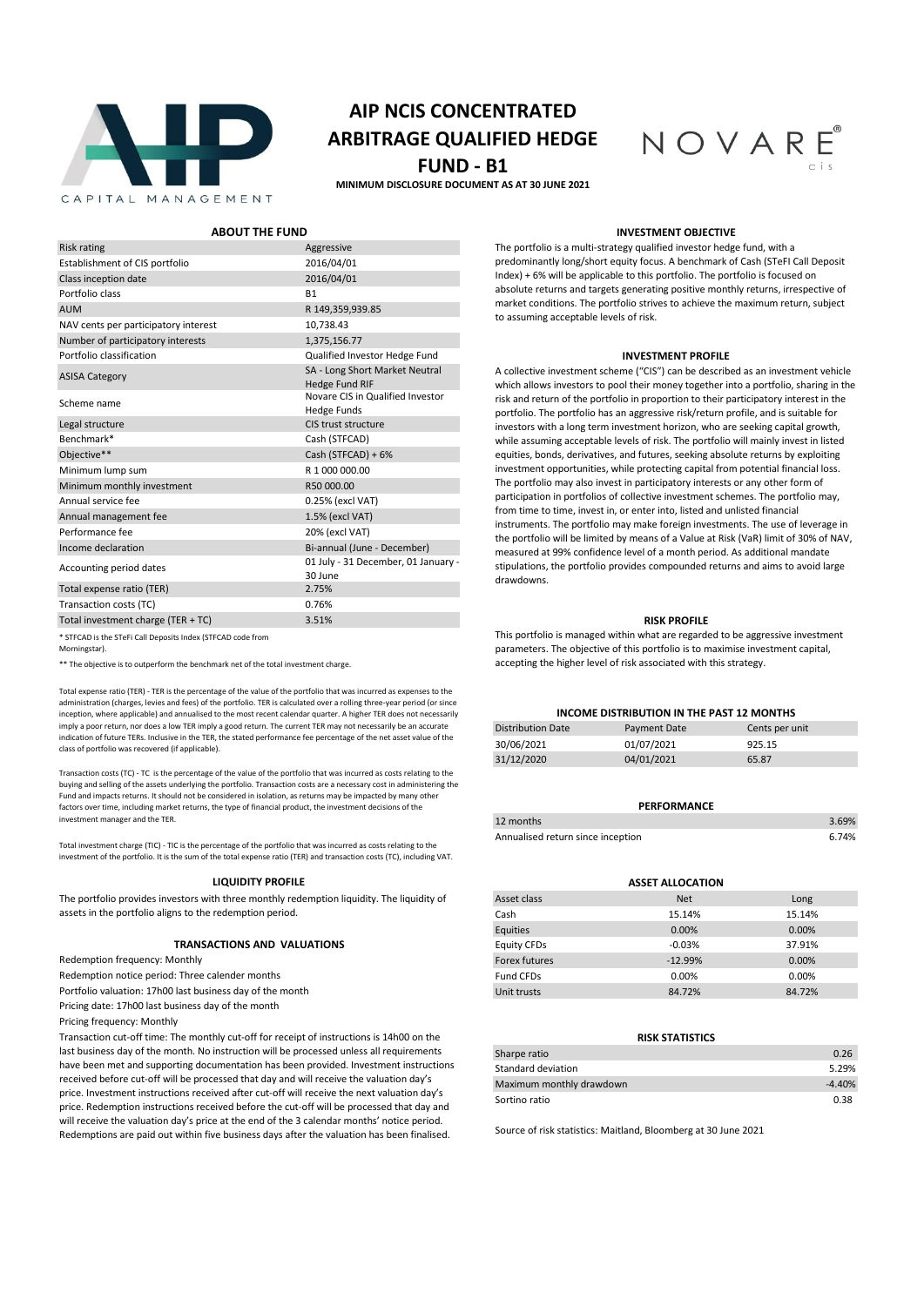

# **AIP NCIS CONCENTRATED ARBITRAGE QUALIFIED HEDGE**

# **FUND - B1**

**MINIMUM DISCLOSURE DOCUMENT AS AT 30 JUNE 2021**



**ABOUT THE FUND INVESTMENT OBJECTIVE**

The portfolio is a multi-strategy qualified investor hedge fund, with a predominantly long/short equity focus. A benchmark of Cash (STeFI Call Deposit Index) + 6% will be applicable to this portfolio. The portfolio is focused on absolute returns and targets generating positive monthly returns, irrespective of market conditions. The portfolio strives to achieve the maximum return, subject to assuming acceptable levels of risk.

#### **INVESTMENT PROFILE**

A collective investment scheme ("CIS") can be described as an investment vehicle which allows investors to pool their money together into a portfolio, sharing in the risk and return of the portfolio in proportion to their participatory interest in the portfolio. The portfolio has an aggressive risk/return profile, and is suitable for investors with a long term investment horizon, who are seeking capital growth, while assuming acceptable levels of risk. The portfolio will mainly invest in listed equities, bonds, derivatives, and futures, seeking absolute returns by exploiting investment opportunities, while protecting capital from potential financial loss. The portfolio may also invest in participatory interests or any other form of participation in portfolios of collective investment schemes. The portfolio may, from time to time, invest in, or enter into, listed and unlisted financial instruments. The portfolio may make foreign investments. The use of leverage in the portfolio will be limited by means of a Value at Risk (VaR) limit of 30% of NAV, measured at 99% confidence level of a month period. As additional mandate stipulations, the portfolio provides compounded returns and aims to avoid large drawdowns.

#### **RISK PROFILE**

This portfolio is managed within what are regarded to be aggressive investment parameters. The objective of this portfolio is to maximise investment capital, \*\* The objective is to outperform the benchmark net of the total investment charge. accepting the higher level of risk associated with this strategy.

| INCOME DISTRIBUTION IN THE PAST 12 MONTHS |                |  |  |  |  |  |  |
|-------------------------------------------|----------------|--|--|--|--|--|--|
| Payment Date                              | Cents per unit |  |  |  |  |  |  |
| 01/07/2021                                | 925.15         |  |  |  |  |  |  |
| 04/01/2021                                | 65.87          |  |  |  |  |  |  |
|                                           |                |  |  |  |  |  |  |

| PERFORMANCE                       |       |
|-----------------------------------|-------|
| 12 months                         | 3.69% |
| Annualised return since inception | 6.74% |

| <b>ASSET ALLOCATION</b> |            |        |  |  |  |  |
|-------------------------|------------|--------|--|--|--|--|
| Asset class             | <b>Net</b> | Long   |  |  |  |  |
| Cash                    | 15.14%     | 15.14% |  |  |  |  |
| Equities                | 0.00%      | 0.00%  |  |  |  |  |
| <b>Equity CFDs</b>      | $-0.03%$   | 37.91% |  |  |  |  |
| Forex futures           | $-12.99%$  | 0.00%  |  |  |  |  |
| Fund CFDs               | 0.00%      | 0.00%  |  |  |  |  |
| Unit trusts             | 84.72%     | 84.72% |  |  |  |  |

| <b>RISK STATISTICS</b>   |          |
|--------------------------|----------|
| Sharpe ratio             | 0.26     |
| Standard deviation       | 5.29%    |
| Maximum monthly drawdown | $-4.40%$ |
| Sortino ratio            | 0.38     |

Source of risk statistics: Maitland, Bloomberg at 30 June 2021

| <b>Risk rating</b>                                          | Aggressive                                              |
|-------------------------------------------------------------|---------------------------------------------------------|
| Establishment of CIS portfolio                              | 2016/04/01                                              |
| Class inception date                                        | 2016/04/01                                              |
| Portfolio class                                             | <b>B1</b>                                               |
| <b>AUM</b>                                                  | R 149,359,939.85                                        |
| NAV cents per participatory interest                        | 10,738.43                                               |
| Number of participatory interests                           | 1,375,156.77                                            |
| Portfolio classification                                    | Qualified Investor Hedge Fund                           |
| <b>ASISA Category</b>                                       | SA - Long Short Market Neutral<br><b>Hedge Fund RIF</b> |
| Scheme name                                                 | Novare CIS in Qualified Investor<br><b>Hedge Funds</b>  |
| Legal structure                                             | CIS trust structure                                     |
| Benchmark*                                                  | Cash (STFCAD)                                           |
| Objective**                                                 | Cash (STFCAD) + 6%                                      |
| Minimum lump sum                                            | R 1 000 000.00                                          |
| Minimum monthly investment                                  | R50 000.00                                              |
| Annual service fee                                          | 0.25% (excl VAT)                                        |
| Annual management fee                                       | 1.5% (excl VAT)                                         |
| Performance fee                                             | 20% (excl VAT)                                          |
| Income declaration                                          | Bi-annual (June - December)                             |
| Accounting period dates                                     | 01 July - 31 December, 01 January -<br>30 June          |
| Total expense ratio (TER)                                   | 2.75%                                                   |
| Transaction costs (TC)                                      | 0.76%                                                   |
| Total investment charge (TER + TC)                          | 3.51%                                                   |
| * STFCAD is the STeFi Call Deposits Index (STFCAD code from |                                                         |

Morningstar).

Total expense ratio (TER) - TER is the percentage of the value of the portfolio that was incurred as expenses to the administration (charges, levies and fees) of the portfolio. TER is calculated over a rolling three-year period (or since inception, where applicable) and annualised to the most recent calendar quarter. A higher TER does not necessarily imply a poor return, nor does a low TER imply a good return. The current TER may not necessarily be an accurate indication of future TERs. Inclusive in the TER, the stated performance fee percentage of the net asset value of the class of portfolio was recovered (if applicable).

Transaction costs (TC) - TC is the percentage of the value of the portfolio that was incurred as costs relating to the buying and selling of the assets underlying the portfolio. Transaction costs are a necessary cost in administering the Fund and impacts returns. It should not be considered in isolation, as returns may be impacted by many other factors over time, including market returns, the type of financial product, the investment decisions of the investment manager and the TER.

Total investment charge (TIC) - TIC is the percentage of the portfolio that was incurred as costs relating to the investment of the portfolio. It is the sum of the total expense ratio (TER) and transaction costs (TC), including VAT.

#### **LIQUIDITY PROFILE**

The portfolio provides investors with three monthly redemption liquidity. The liquidity of assets in the portfolio aligns to the redemption period.

#### **TRANSACTIONS AND VALUATIONS**

Redemption frequency: Monthly

Redemption notice period: Three calender months

Portfolio valuation: 17h00 last business day of the month

Pricing date: 17h00 last business day of the month

Pricing frequency: Monthly

Transaction cut-off time: The monthly cut-off for receipt of instructions is 14h00 on the last business day of the month. No instruction will be processed unless all requirements have been met and supporting documentation has been provided. Investment instructions received before cut-off will be processed that day and will receive the valuation day's price. Investment instructions received after cut-off will receive the next valuation day's price. Redemption instructions received before the cut-off will be processed that day and will receive the valuation day's price at the end of the 3 calendar months' notice period. Redemptions are paid out within five business days after the valuation has been finalised.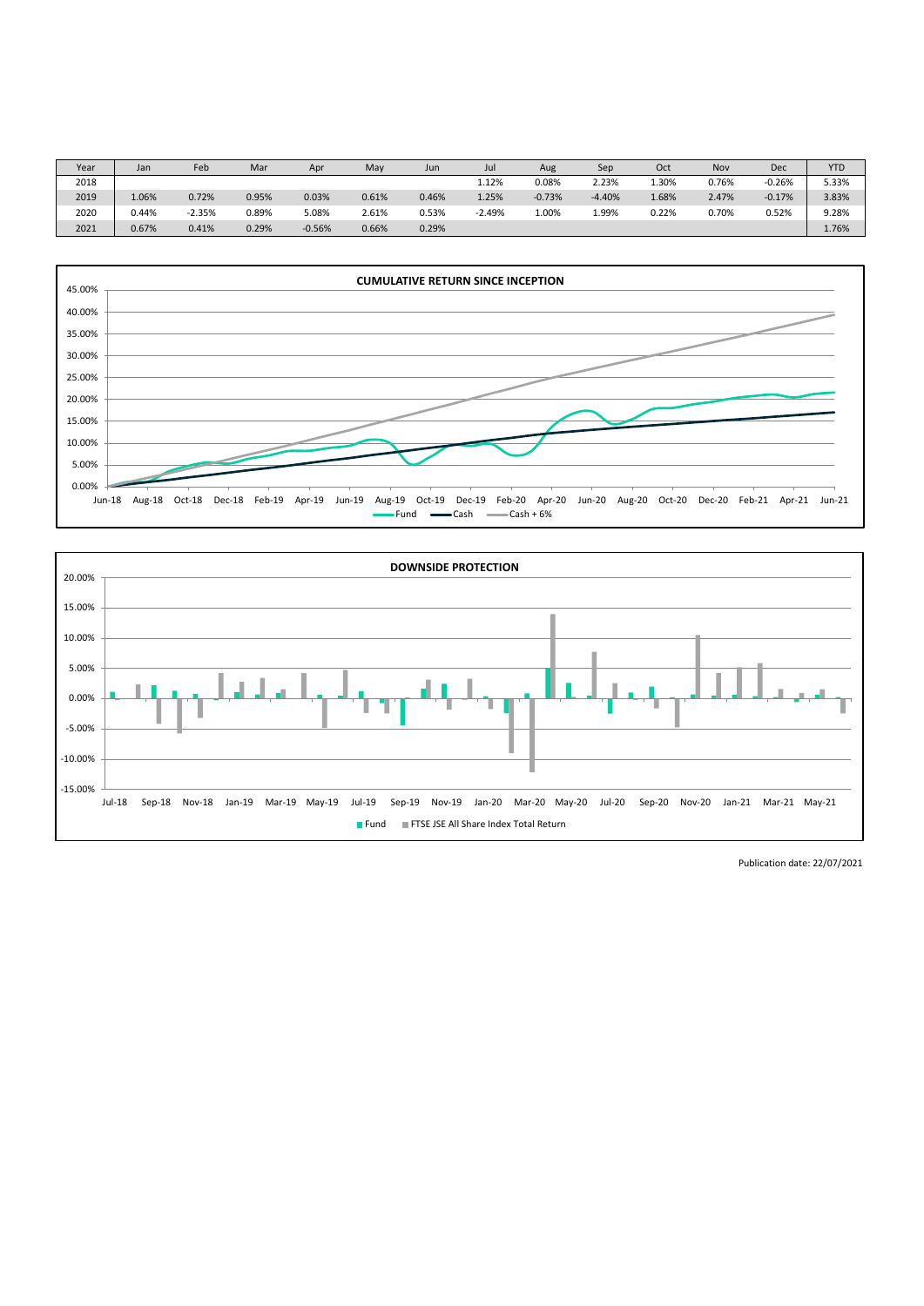| Year | Jan   | Feb      | Mar   | Apr      | May   | Jun   | Jul      | Aug      | Sep      | Oct   | Nov   | Dec      | <b>YTD</b> |
|------|-------|----------|-------|----------|-------|-------|----------|----------|----------|-------|-------|----------|------------|
| 2018 |       |          |       |          |       |       | 1.12%    | 0.08%    | 2.23%    | 1.30% | 0.76% | $-0.26%$ | 5.33%      |
| 2019 | 1.06% | 0.72%    | 0.95% | 0.03%    | 0.61% | 0.46% | 1.25%    | $-0.73%$ | $-4.40%$ | 1.68% | 2.47% | $-0.17%$ | 3.83%      |
| 2020 | 0.44% | $-2.35%$ | 0.89% | 5.08%    | 2.61% | 0.53% | $-2.49%$ | 1.00%    | 1.99%    | 0.22% | 0.70% | 0.52%    | 9.28%      |
| 2021 | 0.67% | 0.41%    | 0.29% | $-0.56%$ | 0.66% | 0.29% |          |          |          |       |       |          | 1.76%      |





Publication date: 22/07/2021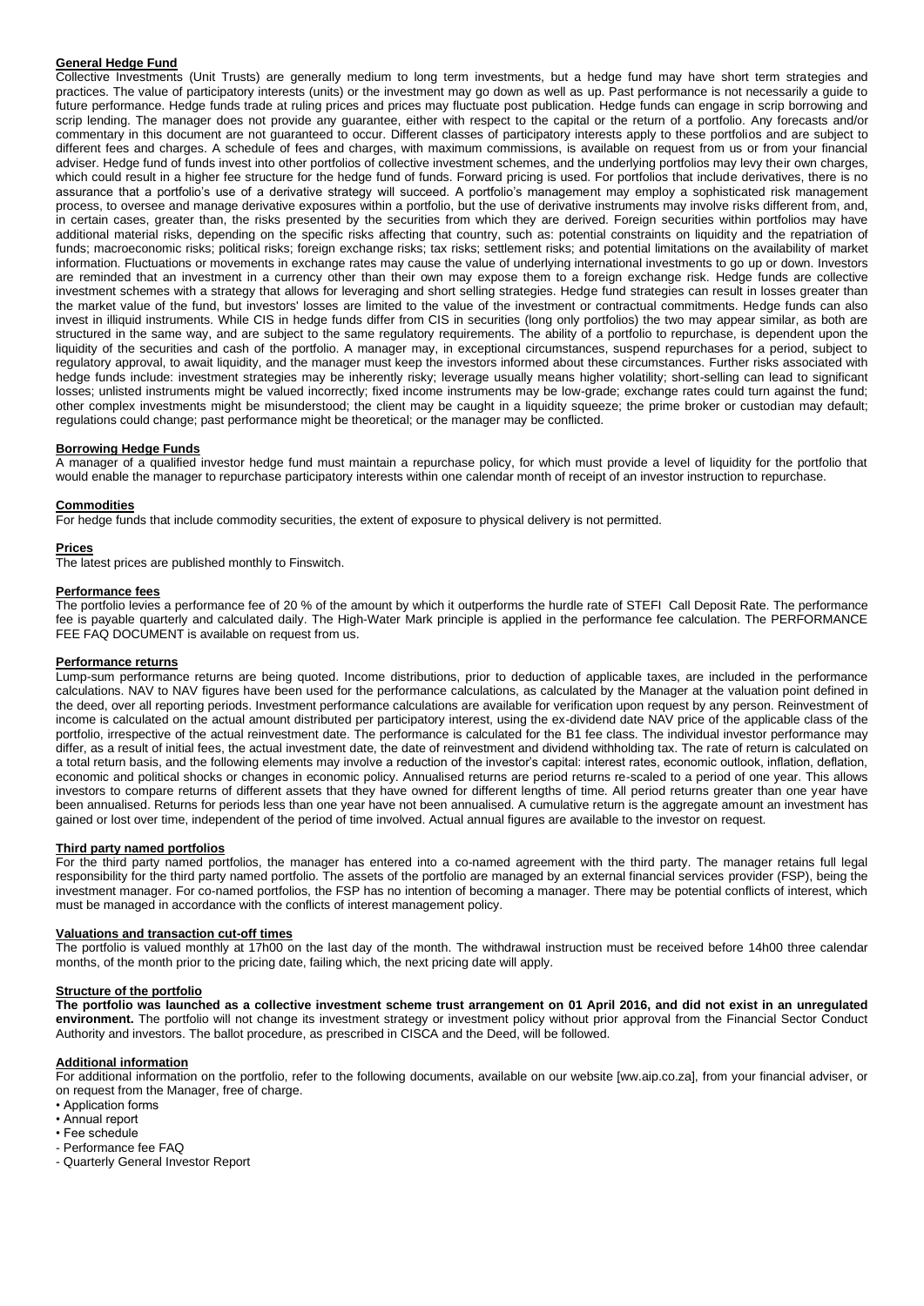# **General Hedge Fund**

Collective Investments (Unit Trusts) are generally medium to long term investments, but a hedge fund may have short term strategies and practices. The value of participatory interests (units) or the investment may go down as well as up. Past performance is not necessarily a guide to future performance. Hedge funds trade at ruling prices and prices may fluctuate post publication. Hedge funds can engage in scrip borrowing and scrip lending. The manager does not provide any guarantee, either with respect to the capital or the return of a portfolio. Any forecasts and/or commentary in this document are not guaranteed to occur. Different classes of participatory interests apply to these portfolios and are subject to different fees and charges. A schedule of fees and charges, with maximum commissions, is available on request from us or from your financial adviser. Hedge fund of funds invest into other portfolios of collective investment schemes, and the underlying portfolios may levy their own charges, which could result in a higher fee structure for the hedge fund of funds. Forward pricing is used. For portfolios that include derivatives, there is no assurance that a portfolio's use of a derivative strategy will succeed. A portfolio's management may employ a sophisticated risk management process, to oversee and manage derivative exposures within a portfolio, but the use of derivative instruments may involve risks different from, and, in certain cases, greater than, the risks presented by the securities from which they are derived. Foreign securities within portfolios may have additional material risks, depending on the specific risks affecting that country, such as: potential constraints on liquidity and the repatriation of funds; macroeconomic risks; political risks; foreign exchange risks; tax risks; settlement risks; and potential limitations on the availability of market information. Fluctuations or movements in exchange rates may cause the value of underlying international investments to go up or down. Investors are reminded that an investment in a currency other than their own may expose them to a foreign exchange risk. Hedge funds are collective investment schemes with a strategy that allows for leveraging and short selling strategies. Hedge fund strategies can result in losses greater than the market value of the fund, but investors' losses are limited to the value of the investment or contractual commitments. Hedge funds can also invest in illiquid instruments. While CIS in hedge funds differ from CIS in securities (long only portfolios) the two may appear similar, as both are structured in the same way, and are subject to the same regulatory requirements. The ability of a portfolio to repurchase, is dependent upon the liquidity of the securities and cash of the portfolio. A manager may, in exceptional circumstances, suspend repurchases for a period, subject to regulatory approval, to await liquidity, and the manager must keep the investors informed about these circumstances. Further risks associated with hedge funds include: investment strategies may be inherently risky; leverage usually means higher volatility; short-selling can lead to significant losses; unlisted instruments might be valued incorrectly; fixed income instruments may be low-grade; exchange rates could turn against the fund; other complex investments might be misunderstood; the client may be caught in a liquidity squeeze; the prime broker or custodian may default; regulations could change; past performance might be theoretical; or the manager may be conflicted.

### **Borrowing Hedge Funds**

A manager of a qualified investor hedge fund must maintain a repurchase policy, for which must provide a level of liquidity for the portfolio that would enable the manager to repurchase participatory interests within one calendar month of receipt of an investor instruction to repurchase.

#### **Commodities**

For hedge funds that include commodity securities, the extent of exposure to physical delivery is not permitted.

#### **Prices**

The latest prices are published monthly to Finswitch.

## **Performance fees**

The portfolio levies a performance fee of 20 % of the amount by which it outperforms the hurdle rate of STEFI Call Deposit Rate. The performance fee is payable quarterly and calculated daily. The High-Water Mark principle is applied in the performance fee calculation. The PERFORMANCE FEE FAQ DOCUMENT is available on request from us.

### **Performance returns**

Lump-sum performance returns are being quoted. Income distributions, prior to deduction of applicable taxes, are included in the performance calculations. NAV to NAV figures have been used for the performance calculations, as calculated by the Manager at the valuation point defined in the deed, over all reporting periods. Investment performance calculations are available for verification upon request by any person. Reinvestment of income is calculated on the actual amount distributed per participatory interest, using the ex-dividend date NAV price of the applicable class of the portfolio, irrespective of the actual reinvestment date. The performance is calculated for the B1 fee class. The individual investor performance may differ, as a result of initial fees, the actual investment date, the date of reinvestment and dividend withholding tax. The rate of return is calculated on a total return basis, and the following elements may involve a reduction of the investor's capital: interest rates, economic outlook, inflation, deflation, economic and political shocks or changes in economic policy. Annualised returns are period returns re-scaled to a period of one year. This allows investors to compare returns of different assets that they have owned for different lengths of time. All period returns greater than one year have been annualised. Returns for periods less than one year have not been annualised. A cumulative return is the aggregate amount an investment has gained or lost over time, independent of the period of time involved. Actual annual figures are available to the investor on request.

#### **Third party named portfolios**

For the third party named portfolios, the manager has entered into a co-named agreement with the third party. The manager retains full legal responsibility for the third party named portfolio. The assets of the portfolio are managed by an external financial services provider (FSP), being the investment manager. For co-named portfolios, the FSP has no intention of becoming a manager. There may be potential conflicts of interest, which must be managed in accordance with the conflicts of interest management policy.

#### **Valuations and transaction cut-off times**

The portfolio is valued monthly at 17h00 on the last day of the month. The withdrawal instruction must be received before 14h00 three calendar months, of the month prior to the pricing date, failing which, the next pricing date will apply.

#### **Structure of the portfolio**

**The portfolio was launched as a collective investment scheme trust arrangement on 01 April 2016, and did not exist in an unregulated environment.** The portfolio will not change its investment strategy or investment policy without prior approval from the Financial Sector Conduct Authority and investors. The ballot procedure, as prescribed in CISCA and the Deed, will be followed.

### **Additional information**

For additional information on the portfolio, refer to the following documents, available on our website [ww.aip.co.za], from your financial adviser, or on request from the Manager, free of charge.

- Application forms
- Annual report
- Fee schedule
- Performance fee FAQ
- Quarterly General Investor Report